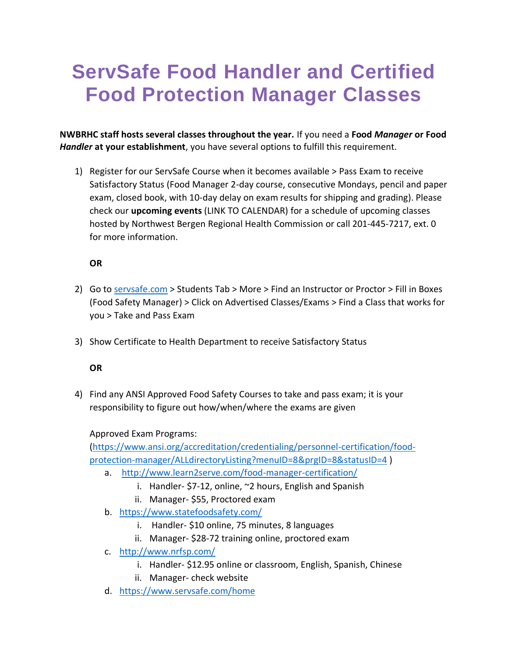## **ServSafe Food Handler and Certified Food Protection Manager Classes**

**NWBRHC staff hosts several classes throughout the year.** If you need a **Food** *Manager* **or Food**  *Handler* **at your establishment**, you have several options to fulfill this requirement.

1) Register for our ServSafe Course when it becomes available > Pass Exam to receive Satisfactory Status (Food Manager 2-day course, consecutive Mondays, pencil and paper exam, closed book, with 10-day delay on exam results for shipping and grading). Please check our **upcoming events** (LINK TO CALENDAR) for a schedule of upcoming classes hosted by Northwest Bergen Regional Health Commission or call 201-445-7217, ext. 0 for more information.

## **OR**

- 2) Go to<servsafe.com> > Students Tab > More > Find an Instructor or Proctor > Fill in Boxes (Food Safety Manager) > Click on Advertised Classes/Exams > Find a Class that works for you > Take and Pass Exam
- 3) Show Certificate to Health Department to receive Satisfactory Status

## **OR**

4) Find any ANSI Approved Food Safety Courses to take and pass exam; it is your responsibility to figure out how/when/where the exams are given

## Approved Exam Programs:

[\(https://www.ansi.org/accreditation/credentialing/personnel-certification/food](https://www.ansi.org/accreditation/credentialing/personnel-certification/food-protection-manager/ALLdirectoryListing?menuID=8&prgID=8&statusID=4)[protection-manager/ALLdirectoryListing?menuID=8&prgID=8&statusID=4](https://www.ansi.org/accreditation/credentialing/personnel-certification/food-protection-manager/ALLdirectoryListing?menuID=8&prgID=8&statusID=4) )

- a. <http://www.learn2serve.com/food-manager-certification/>
	- i. Handler- \$7-12, online, ~2 hours, English and Spanish
	- ii. Manager- \$55, Proctored exam
- b. <https://www.statefoodsafety.com/>
	- i. Handler- \$10 online, 75 minutes, 8 languages
	- ii. Manager- \$28-72 training online, proctored exam
- c. <http://www.nrfsp.com/>
	- i. Handler- \$12.95 online or classroom, English, Spanish, Chinese
	- ii. Manager- check website
- d. <https://www.servsafe.com/home>